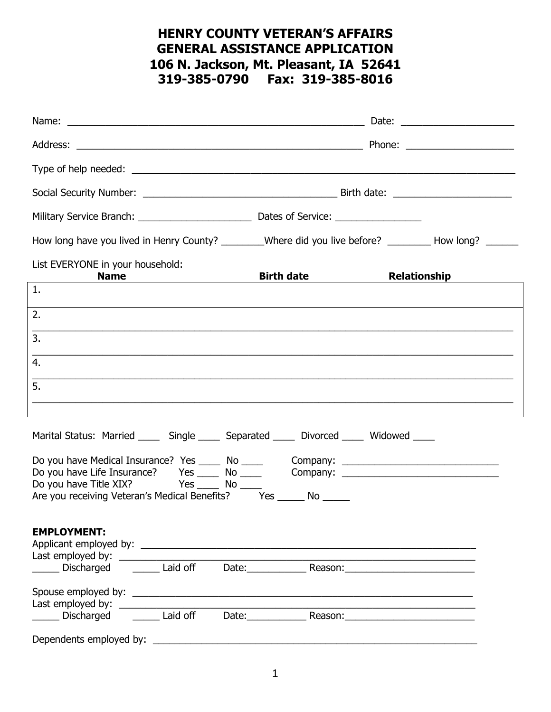## HENRY COUNTY VETERAN'S AFFAIRS GENERAL ASSISTANCE APPLICATION 106 N. Jackson, Mt. Pleasant, IA 52641 319-385-0790 Fax: 319-385-8016

|                                                                                                                                                                                                                    |                         | Date: __________________________                                                                                 |
|--------------------------------------------------------------------------------------------------------------------------------------------------------------------------------------------------------------------|-------------------------|------------------------------------------------------------------------------------------------------------------|
|                                                                                                                                                                                                                    |                         |                                                                                                                  |
|                                                                                                                                                                                                                    |                         |                                                                                                                  |
|                                                                                                                                                                                                                    |                         |                                                                                                                  |
|                                                                                                                                                                                                                    |                         |                                                                                                                  |
| How long have you lived in Henry County? _______Where did you live before? _________ How long? ______                                                                                                              |                         |                                                                                                                  |
| List EVERYONE in your household:<br>Name Manual Manual Manual Manual Manual Manual Manual Manual Manual Manual Manual Manual Manual Manual Manual                                                                  | Birth date Relationship |                                                                                                                  |
| $\mathbf{1}$ .                                                                                                                                                                                                     |                         |                                                                                                                  |
| 2.<br><u> 1989 - Johann John Stoff, amerikan besteht besteht aus dem Berlin der Stoffen und der Stoffen und der Stoffen</u>                                                                                        |                         |                                                                                                                  |
| 3.                                                                                                                                                                                                                 |                         |                                                                                                                  |
| ,我们也不能在这里的时候,我们也不能在这里的时候,我们也不能在这里的时候,我们也不能会不能会不能会不能会不能会不能会不能会不能会。<br>第2012章 我们的时候,我们的时候,我们的时候,我们的时候,我们的时候,我们的时候,我们的时候,我们的时候,我们的时候,我们的时候,我们的时候,我们的时候,我<br>4.                                                        |                         |                                                                                                                  |
| 5.                                                                                                                                                                                                                 |                         |                                                                                                                  |
| ,我们也不能在这里的人,我们也不能在这里的人,我们也不能在这里的人,我们也不能在这里的人,我们也不能在这里的人,我们也不能在这里的人,我们也不能在这里的人,我们也                                                                                                                                  |                         |                                                                                                                  |
| Marital Status: Married ______ Single ______ Separated ______ Divorced ______ Widowed _____                                                                                                                        |                         |                                                                                                                  |
| Do you have Medical Insurance? Yes _____ No _____ Company: _____________________<br>Do you have Life Insurance? Yes _____ No _____ Company: ________________________<br>Do you have Title XIX? Yes ______ No _____ |                         |                                                                                                                  |
| Are you receiving Veteran's Medical Benefits? Yes ______ No ______                                                                                                                                                 |                         |                                                                                                                  |
| <b>EMPLOYMENT:</b>                                                                                                                                                                                                 |                         | and the control of the control of the control of the control of the control of the control of the control of the |
| Discharged _______ Laid off                                                                                                                                                                                        | Date: Reason: Reason:   |                                                                                                                  |
| Discharged _______ Laid off                                                                                                                                                                                        | Date: Reason: Reason:   |                                                                                                                  |
|                                                                                                                                                                                                                    |                         |                                                                                                                  |